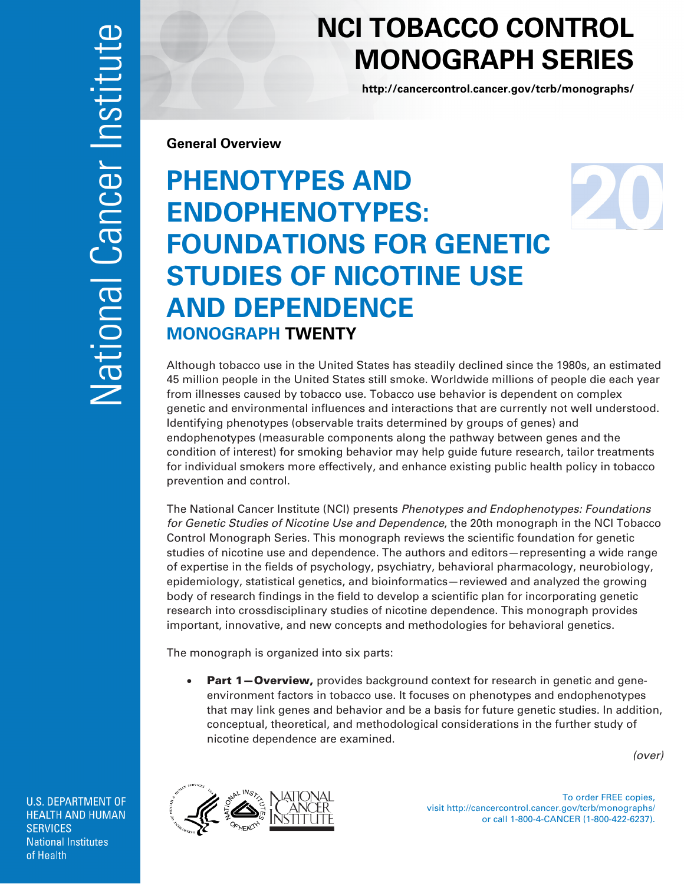## **NCI TOBACCO CONTROL MONOGRAPH SERIES**

**<http://cancercontrol.cancer.gov/tcrb/monographs/>**

**General Overview** 

## **PHENOTYPES AND ENDOPHENOTYPES: FOUNDATIONS FOR GENETIC STUDIES OF NICOTINE USE AND DEPENDENCE MONOGRAPH TWENTY**

Although tobacco use in the United States has steadily declined since the 1980s, an estimated 45 million people in the United States still smoke. Worldwide millions of people die each year from illnesses caused by tobacco use. Tobacco use behavior is dependent on complex genetic and environmental influences and interactions that are currently not well understood. Identifying phenotypes (observable traits determined by groups of genes) and endophenotypes (measurable components along the pathway between genes and the condition of interest) for smoking behavior may help guide future research, tailor treatments for individual smokers more effectively, and enhance existing public health policy in tobacco prevention and control.

The National Cancer Institute (NCI) presents *Phenotypes and Endophenotypes: Foundations for Genetic Studies of Nicotine Use and Dependence*, the 20th monograph in the NCI Tobacco Control Monograph Series. This monograph reviews the scientific foundation for genetic studies of nicotine use and dependence. The authors and editors—representing a wide range of expertise in the fields of psychology, psychiatry, behavioral pharmacology, neurobiology, epidemiology, statistical genetics, and bioinformatics—reviewed and analyzed the growing body of research findings in the field to develop a scientific plan for incorporating genetic research into crossdisciplinary studies of nicotine dependence. This monograph provides important, innovative, and new concepts and methodologies for behavioral genetics.

The monograph is organized into six parts:

• Part 1-Overview, provides background context for research in genetic and geneenvironment factors in tobacco use. It focuses on phenotypes and endophenotypes that may link genes and behavior and be a basis for future genetic studies. In addition, conceptual, theoretical, and methodological considerations in the further study of nicotine dependence are examined.

 *(over)*

**U.S. DEPARTMENT OF HEALTH AND HUMAN SERVICES National Institutes** of Health



To order FREE copies, visit http://cancercontrol.cancer.gov/tcrb/monographs/ or call 1-800-4-CANCER (1-800-422-6237).